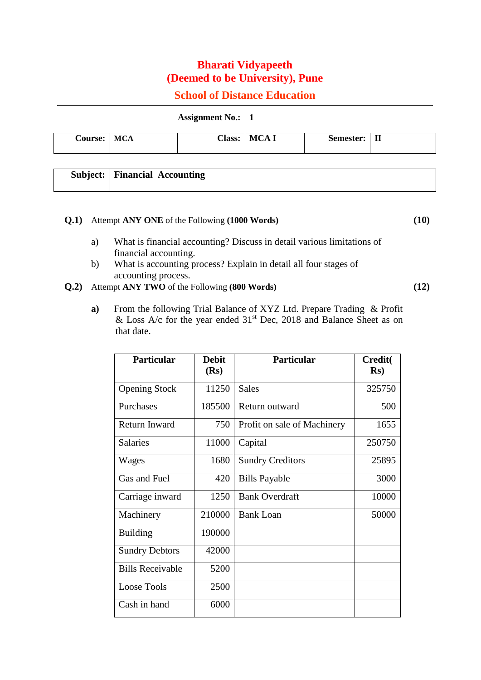# **Bharati Vidyapeeth (Deemed to be University), Pune**

## **School of Distance Education**

**Assignment No.: 1**

|  | -<br>Course: | .<br>.<br><b>MCA</b> | <b>Class:</b> | M<br>A | Semester: | <b>TT</b><br>п |
|--|--------------|----------------------|---------------|--------|-----------|----------------|
|--|--------------|----------------------|---------------|--------|-----------|----------------|

| <b>Subject:</b>   Financial Accounting |
|----------------------------------------|
|                                        |

## **Q.1)** Attempt **ANY ONE** of the Following **(1000 Words) (10)**

- a) What is financial accounting? Discuss in detail various limitations of financial accounting.
- b) What is accounting process? Explain in detail all four stages of accounting process.
- **Q.2)** Attempt **ANY TWO** of the Following **(800 Words) (12)**
	- **a)** From the following Trial Balance of XYZ Ltd. Prepare Trading & Profit & Loss A/c for the year ended  $31<sup>st</sup>$  Dec, 2018 and Balance Sheet as on that date.

| <b>Particular</b>       | <b>Debit</b> | <b>Particular</b>           | <b>Credit(</b> |
|-------------------------|--------------|-----------------------------|----------------|
|                         | (Rs)         |                             | $\mathbf{Rs}$  |
| <b>Opening Stock</b>    | 11250        | <b>Sales</b>                | 325750         |
| Purchases               | 185500       | Return outward              | 500            |
| Return Inward           | 750          | Profit on sale of Machinery | 1655           |
| <b>Salaries</b>         | 11000        | Capital                     | 250750         |
| Wages                   | 1680         | <b>Sundry Creditors</b>     | 25895          |
| Gas and Fuel            | 420          | <b>Bills Payable</b>        | 3000           |
| Carriage inward         | 1250         | <b>Bank Overdraft</b>       | 10000          |
| Machinery               | 210000       | <b>Bank Loan</b>            | 50000          |
| <b>Building</b>         | 190000       |                             |                |
| <b>Sundry Debtors</b>   | 42000        |                             |                |
| <b>Bills Receivable</b> | 5200         |                             |                |
| <b>Loose Tools</b>      | 2500         |                             |                |
| Cash in hand            | 6000         |                             |                |